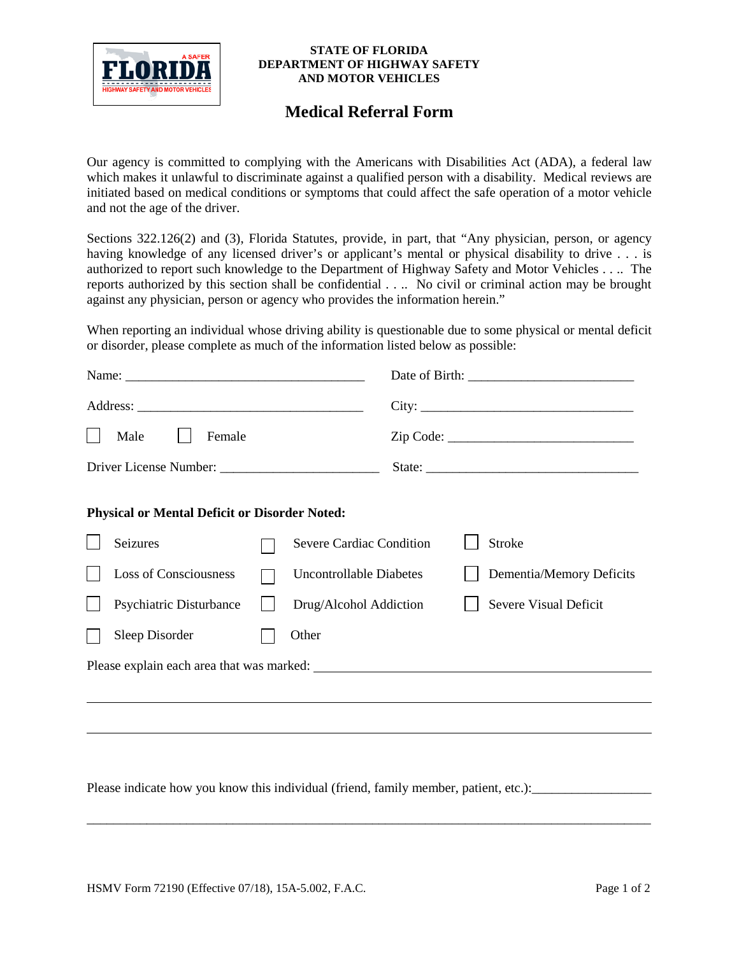

## **STATE OF FLORIDA DEPARTMENT OF HIGHWAY SAFETY AND MOTOR VEHICLES**

## **Medical Referral Form**

Our agency is committed to complying with the Americans with Disabilities Act (ADA), a federal law which makes it unlawful to discriminate against a qualified person with a disability. Medical reviews are initiated based on medical conditions or symptoms that could affect the safe operation of a motor vehicle and not the age of the driver.

Sections 322.126(2) and (3), Florida Statutes, provide, in part, that "Any physician, person, or agency having knowledge of any licensed driver's or applicant's mental or physical disability to drive . . . is authorized to report such knowledge to the Department of Highway Safety and Motor Vehicles . . .. The reports authorized by this section shall be confidential . . .. No civil or criminal action may be brought against any physician, person or agency who provides the information herein."

When reporting an individual whose driving ability is questionable due to some physical or mental deficit or disorder, please complete as much of the information listed below as possible:

| Male<br>Female |                                                      |  |                                 |        |                          |  |
|----------------|------------------------------------------------------|--|---------------------------------|--------|--------------------------|--|
|                |                                                      |  |                                 | State: |                          |  |
|                | <b>Physical or Mental Deficit or Disorder Noted:</b> |  |                                 |        |                          |  |
|                | Seizures                                             |  | <b>Severe Cardiac Condition</b> |        | <b>Stroke</b>            |  |
|                | <b>Loss of Consciousness</b>                         |  | <b>Uncontrollable Diabetes</b>  |        | Dementia/Memory Deficits |  |
|                | Psychiatric Disturbance                              |  | Drug/Alcohol Addiction          |        | Severe Visual Deficit    |  |
|                | Sleep Disorder                                       |  | Other                           |        |                          |  |
|                |                                                      |  |                                 |        |                          |  |
|                |                                                      |  |                                 |        |                          |  |
|                |                                                      |  |                                 |        |                          |  |
|                |                                                      |  |                                 |        |                          |  |

Please indicate how you know this individual (friend, family member, patient, etc.):\_\_\_\_\_\_\_\_\_\_\_\_\_\_\_\_\_\_\_\_\_\_\_\_\_\_

\_\_\_\_\_\_\_\_\_\_\_\_\_\_\_\_\_\_\_\_\_\_\_\_\_\_\_\_\_\_\_\_\_\_\_\_\_\_\_\_\_\_\_\_\_\_\_\_\_\_\_\_\_\_\_\_\_\_\_\_\_\_\_\_\_\_\_\_\_\_\_\_\_\_\_\_\_\_\_\_\_\_\_\_\_